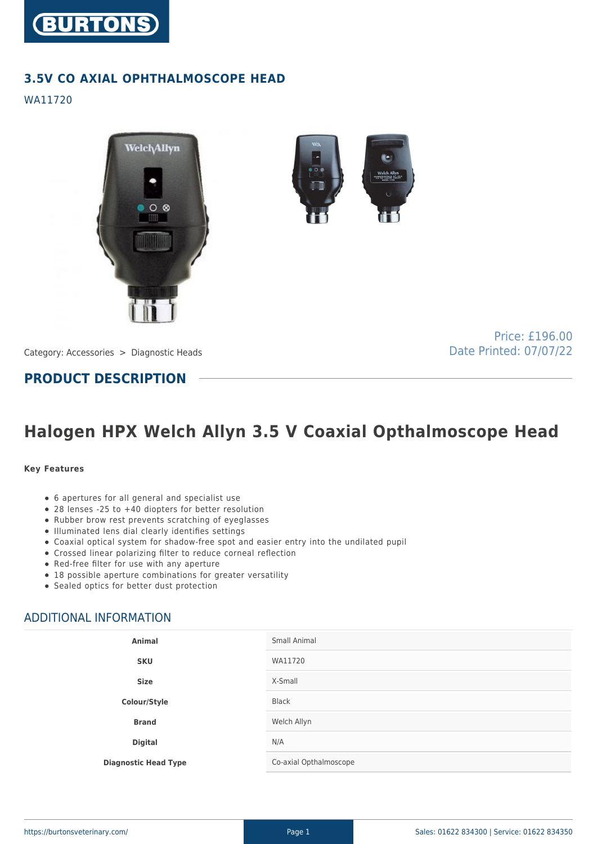

## **3.5V CO AXIAL OPHTHALMOSCOPE HEAD**

WA11720



Category: Accessories > Diagnostic Heads

Price: £196.00 Date Printed: 07/07/22

**PRODUCT DESCRIPTION**

# **Halogen HPX Welch Allyn 3.5 V Coaxial Opthalmoscope Head**

#### **Key Features**

- 6 apertures for all general and specialist use
- 28 lenses -25 to +40 diopters for better resolution
- Rubber brow rest prevents scratching of eyeglasses
- Illuminated lens dial clearly identifies settings
- Coaxial optical system for shadow-free spot and easier entry into the undilated pupil
- Crossed linear polarizing filter to reduce corneal reflection
- Red-free filter for use with any aperture
- 18 possible aperture combinations for greater versatility
- Sealed optics for better dust protection

## ADDITIONAL INFORMATION

| <b>Animal</b>               | Small Animal           |
|-----------------------------|------------------------|
| <b>SKU</b>                  | WA11720                |
| <b>Size</b>                 | X-Small                |
| Colour/Style                | Black                  |
| <b>Brand</b>                | Welch Allyn            |
| <b>Digital</b>              | N/A                    |
| <b>Diagnostic Head Type</b> | Co-axial Opthalmoscope |